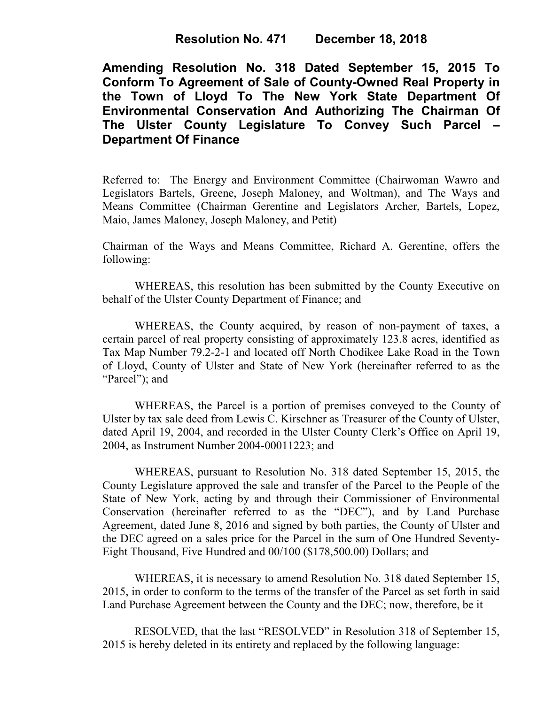## **Resolution No. 471 December 18, 2018**

**Amending Resolution No. 318 Dated September 15, 2015 To Conform To Agreement of Sale of County-Owned Real Property in the Town of Lloyd To The New York State Department Of Environmental Conservation And Authorizing The Chairman Of The Ulster County Legislature To Convey Such Parcel – Department Of Finance**

Referred to: The Energy and Environment Committee (Chairwoman Wawro and Legislators Bartels, Greene, Joseph Maloney, and Woltman), and The Ways and Means Committee (Chairman Gerentine and Legislators Archer, Bartels, Lopez, Maio, James Maloney, Joseph Maloney, and Petit)

Chairman of the Ways and Means Committee, Richard A. Gerentine, offers the following:

WHEREAS, this resolution has been submitted by the County Executive on behalf of the Ulster County Department of Finance; and

WHEREAS, the County acquired, by reason of non-payment of taxes, a certain parcel of real property consisting of approximately 123.8 acres, identified as Tax Map Number 79.2-2-1 and located off North Chodikee Lake Road in the Town of Lloyd, County of Ulster and State of New York (hereinafter referred to as the "Parcel"); and

WHEREAS, the Parcel is a portion of premises conveyed to the County of Ulster by tax sale deed from Lewis C. Kirschner as Treasurer of the County of Ulster, dated April 19, 2004, and recorded in the Ulster County Clerk's Office on April 19, 2004, as Instrument Number 2004-00011223; and

WHEREAS, pursuant to Resolution No. 318 dated September 15, 2015, the County Legislature approved the sale and transfer of the Parcel to the People of the State of New York, acting by and through their Commissioner of Environmental Conservation (hereinafter referred to as the "DEC"), and by Land Purchase Agreement, dated June 8, 2016 and signed by both parties, the County of Ulster and the DEC agreed on a sales price for the Parcel in the sum of One Hundred Seventy-Eight Thousand, Five Hundred and 00/100 (\$178,500.00) Dollars; and

WHEREAS, it is necessary to amend Resolution No. 318 dated September 15, 2015, in order to conform to the terms of the transfer of the Parcel as set forth in said Land Purchase Agreement between the County and the DEC; now, therefore, be it

RESOLVED, that the last "RESOLVED" in Resolution 318 of September 15, 2015 is hereby deleted in its entirety and replaced by the following language: